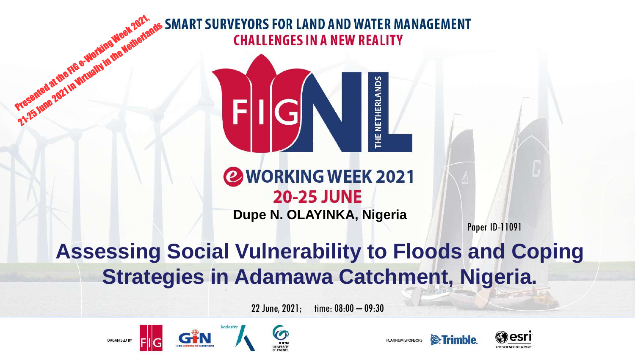## Presented at the FIG e-Working Week 2021, **SURVEYORS FOR LAND AND WATER MANAGEMENT** 21-25 June 2021 in Virtually in the Metherlands **CHALLENGES IN A NEW REALITY**



## **@WORKING WEEK 2021 20-25 JUNE**

**Dupe N. OLAYINKA, Nigeria**

Paper ID-11091

## **Assessing Social Vulnerability to Floods and Coping Strategies in Adamawa Catchment, Nigeria.**

22 June, 2021; time: 08:00 – 09:30







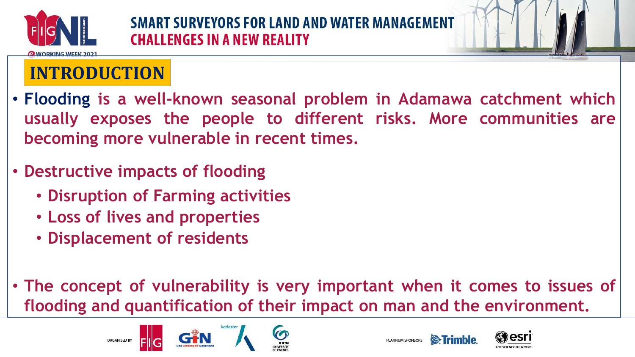



- **Flooding is a well-known seasonal problem in Adamawa catchment which usually exposes the people to different risks. More communities are becoming more vulnerable in recent times.**
- **Destructive impacts of flooding**
	- **Disruption of Farming activities**
	- **Loss of lives and properties**
	- **Displacement of residents**
- **The concept of vulnerability is very important when it comes to issues of flooding and quantification of their impact on man and the environment.**







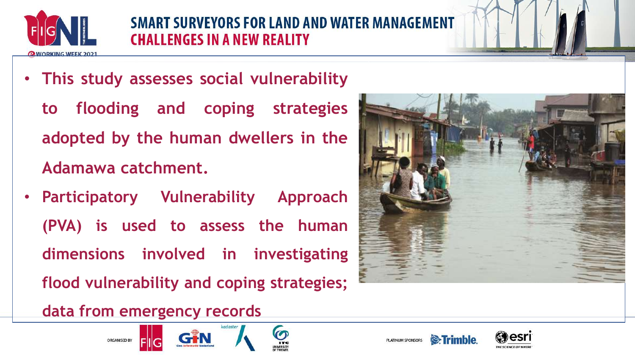

• **This study assesses social vulnerability**

**to flooding and coping strategies adopted by the human dwellers in the Adamawa catchment.**

• **Participatory Vulnerability Approach (PVA) is used to assess the human dimensions involved in investigating flood vulnerability and coping strategies;**

**data from emergency records**







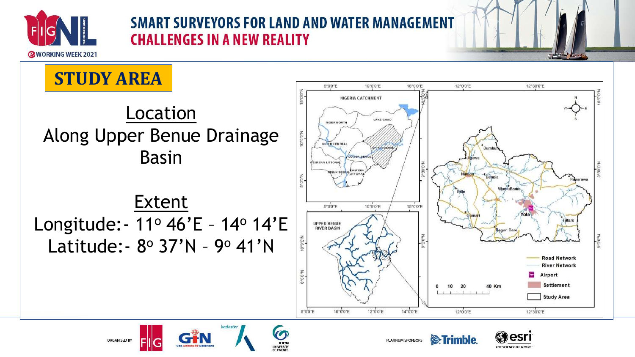



**&**Trimble

THE SCIENCE OF WHER





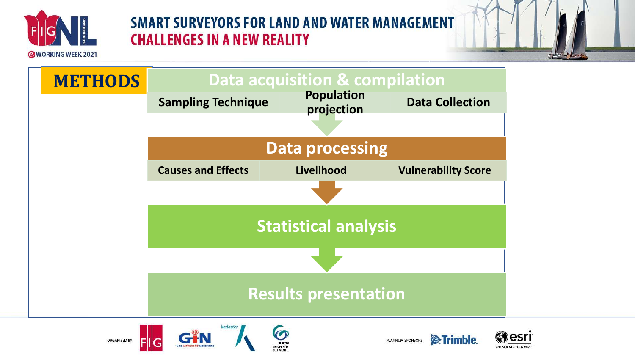



<sup>®</sup>Trimble.

THE SCIENCE OF WHE





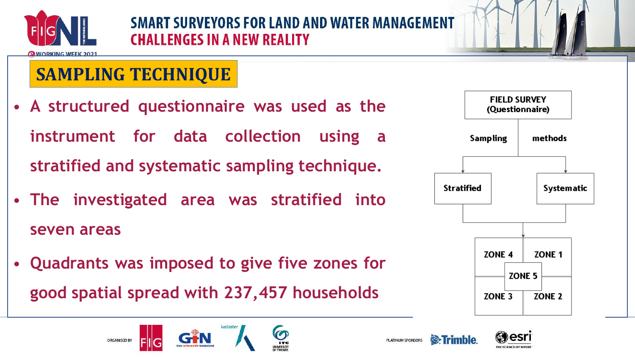

## **SAMPLING TECHNIQUE**

**ORGANISED BY** 

- **A structured questionnaire was used as the instrument for data collection using a stratified and systematic sampling technique.**
- **The investigated area was stratified into seven areas**
- **Quadrants was imposed to give five zones for good spatial spread with 237,457 households**



**& Trimhle** 

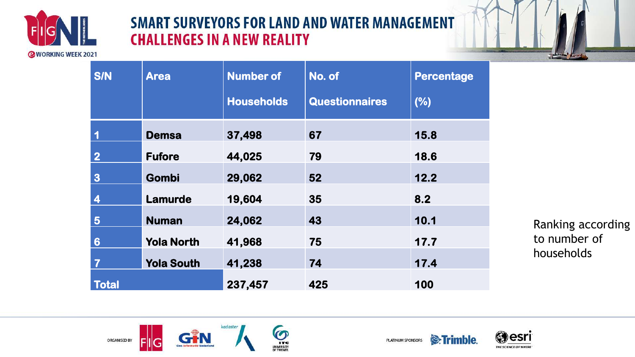



| <b>S/N</b>              | <b>Area</b>       | <b>Number of</b>  | No. of                | <b>Percentage</b> |
|-------------------------|-------------------|-------------------|-----------------------|-------------------|
|                         |                   | <b>Households</b> | <b>Questionnaires</b> | (%)               |
|                         | <b>Demsa</b>      | 37,498            | 67                    | 15.8              |
| $\overline{2}$          | <b>Fufore</b>     | 44,025            | 79                    | 18.6              |
| $\boldsymbol{3}$        | <b>Gombi</b>      | 29,062            | 52                    | 12.2              |
| $\overline{\mathbf{4}}$ | <b>Lamurde</b>    | 19,604            | 35                    | 8.2               |
| 5                       | <b>Numan</b>      | 24,062            | 43                    | 10.1              |
| $6\phantom{1}6$         | <b>Yola North</b> | 41,968            | 75                    | 17.7              |
| $\overline{\mathbf{7}}$ | <b>Yola South</b> | 41,238            | 74                    | 17.4              |
| <b>Total</b>            |                   | 237,457           | 425                   | 100               |

Ranking according to number of households





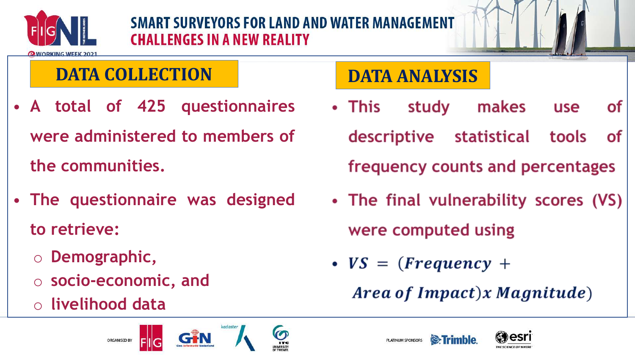

#### **OWORKING WEEK 202**

## **DATA COLLECTION**

- **A total of 425 questionnaires were administered to members of the communities.**
- **The questionnaire was designed to retrieve:**
	- o **Demographic,**
	- o **socio-economic, and**

ORGANISED BY

o **livelihood data**

# **DATA ANALYSIS**

- makes • This study **of use** descriptive statistical tools **of** frequency counts and percentages
- The final vulnerability scores (VS) were computed using
- $VS = (Frequency +$

PLATINUM SPONSORS

Area of Impact)x Magnitude)





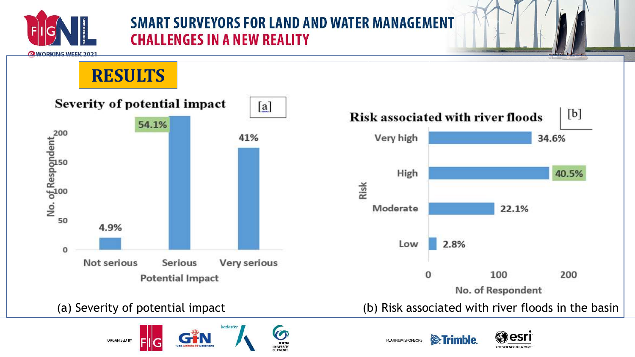

**OWORKING WEEK 2021** 

## **RESULTS**











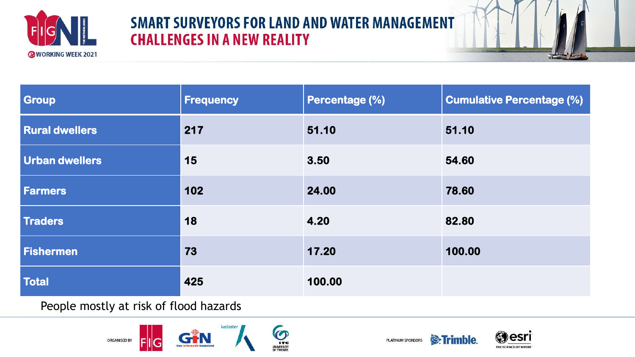



| Group                 | <b>Frequency</b> | <b>Percentage (%)</b> | <b>Cumulative Percentage (%)</b> |
|-----------------------|------------------|-----------------------|----------------------------------|
| <b>Rural dwellers</b> | 217              | 51.10                 | 51.10                            |
| <b>Urban dwellers</b> | 15               | 3.50                  | 54.60                            |
| <b>Farmers</b>        | 102              | 24.00                 | 78.60                            |
| Traders               | 18               | 4.20                  | 82.80                            |
| Fishermen             | 73               | 17.20                 | 100.00                           |
| Total                 | 425              | 100.00                |                                  |

People mostly at risk of flood hazards





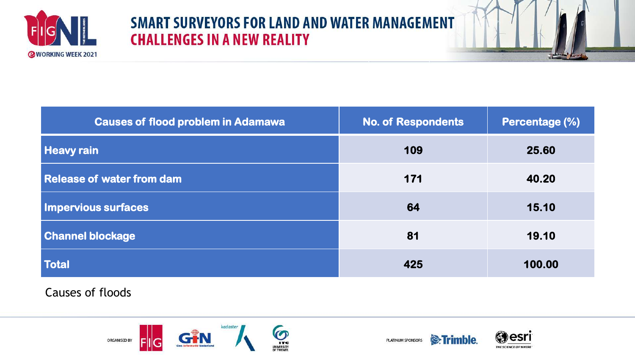



| <b>Causes of flood problem in Adamawa</b> | <b>No. of Respondents</b> | Percentage (%) |
|-------------------------------------------|---------------------------|----------------|
| <b>Heavy rain</b>                         | 109                       | 25.60          |
| Release of water from dam                 | 171                       | 40.20          |
| Impervious surfaces                       | 64                        | 15.10          |
| <b>Channel blockage</b>                   | 81                        | 19.10          |
| <b>Total</b>                              | 425                       | 100.00         |

Causes of floods

kadaster ORGANISED BY





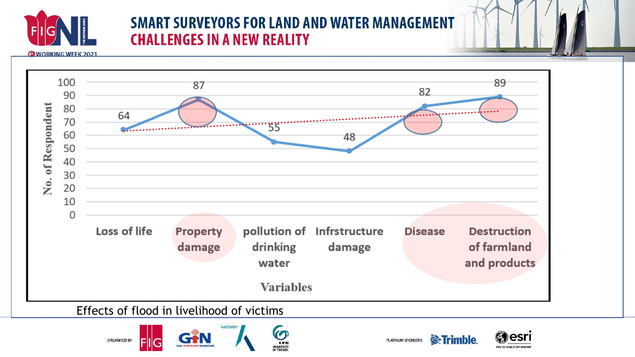

**OWORKING WEEK 2021** 



 $\Omega$ 

**ITC** UNIVERSITY





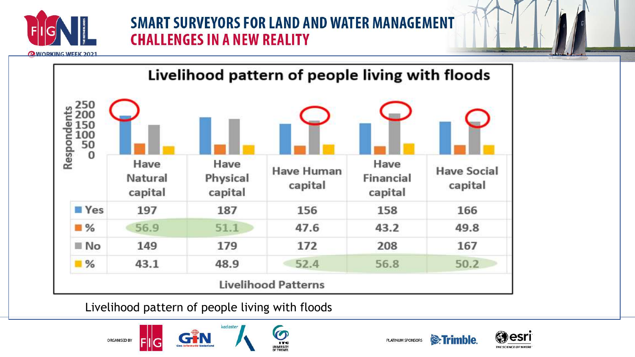

**OWORKING WEEK 2021** 



Livelihood pattern of people living with floods





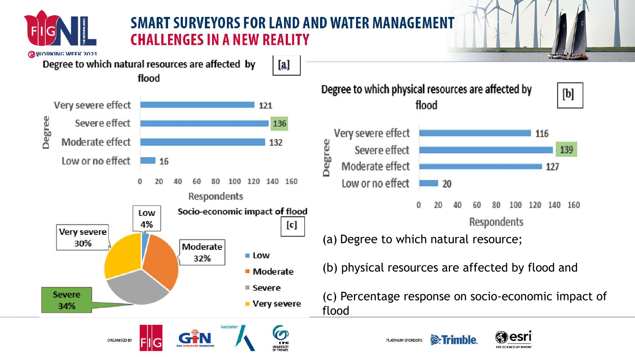

la.

Degree to which natural resources are affected by

flood







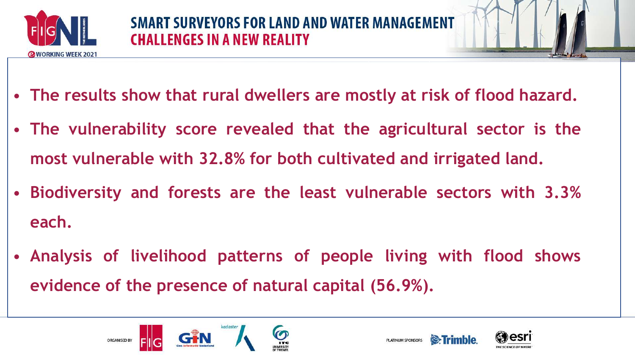

- **The results show that rural dwellers are mostly at risk of flood hazard.**
- **The vulnerability score revealed that the agricultural sector is the most vulnerable with 32.8% for both cultivated and irrigated land.**
- **Biodiversity and forests are the least vulnerable sectors with 3.3% each.**
- **Analysis of livelihood patterns of people living with flood shows evidence of the presence of natural capital (56.9%).**





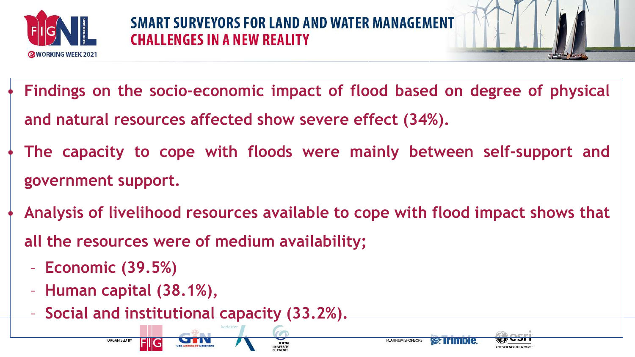



- **Findings on the socio-economic impact of flood based on degree of physical and natural resources affected show severe effect (34%).**
- **The capacity to cope with floods were mainly between self-support and government support.**
- **Analysis of livelihood resources available to cope with flood impact shows that all the resources were of medium availability;**

**PLATINUM SPONSORS** 

- **Economic (39.5%)**
- **Human capital (38.1%),**

**ORGANISED BY** 

– **Social and institutional capacity (33.2%).**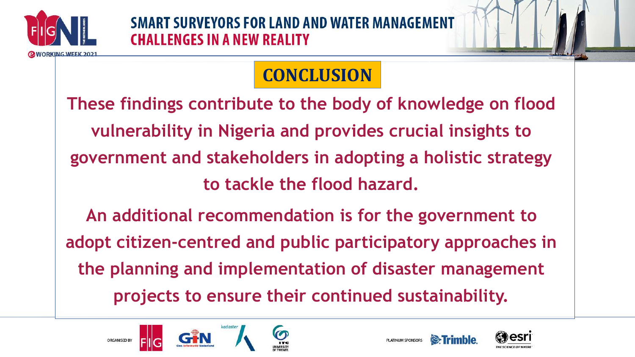

## **CONCLUSION**

**These findings contribute to the body of knowledge on flood vulnerability in Nigeria and provides crucial insights to government and stakeholders in adopting a holistic strategy to tackle the flood hazard. An additional recommendation is for the government to adopt citizen-centred and public participatory approaches in the planning and implementation of disaster management projects to ensure their continued sustainability.**